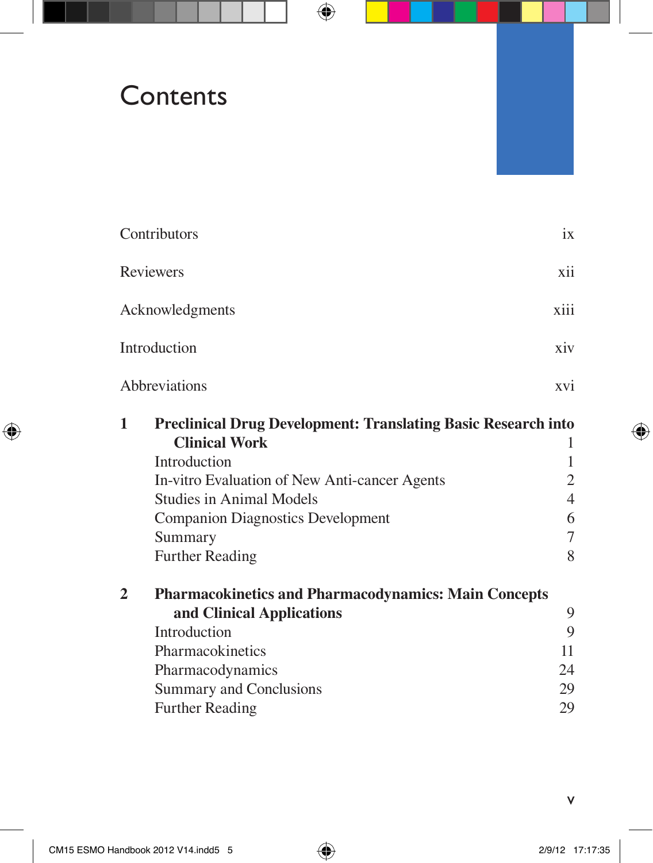## **Contents**

| ix                                                                                                                                |
|-----------------------------------------------------------------------------------------------------------------------------------|
| xii                                                                                                                               |
| xiii                                                                                                                              |
| xiv                                                                                                                               |
| xvi                                                                                                                               |
| <b>Preclinical Drug Development: Translating Basic Research into</b><br>1<br>1<br>$\overline{c}$<br>$\overline{4}$<br>6<br>7<br>8 |
| <b>Pharmacokinetics and Pharmacodynamics: Main Concepts</b><br>9<br>9<br>11<br>24<br>29<br>29                                     |
|                                                                                                                                   |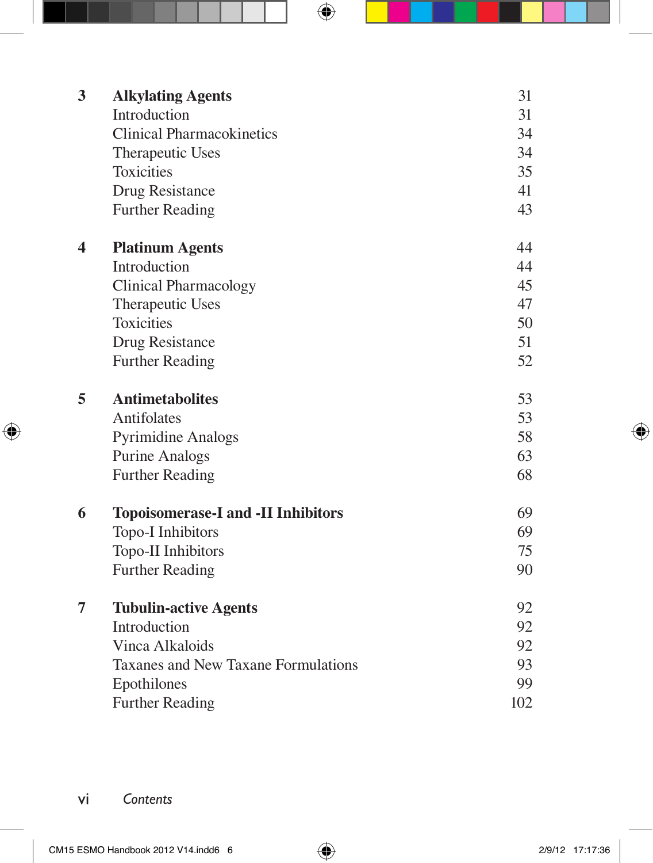| 3 | <b>Alkylating Agents</b>                  | 31  |
|---|-------------------------------------------|-----|
|   | Introduction                              | 31  |
|   | <b>Clinical Pharmacokinetics</b>          | 34  |
|   | Therapeutic Uses                          | 34  |
|   | <b>Toxicities</b>                         | 35  |
|   | Drug Resistance                           | 41  |
|   | <b>Further Reading</b>                    | 43  |
| 4 | <b>Platinum Agents</b>                    | 44  |
|   | Introduction                              | 44  |
|   | Clinical Pharmacology                     | 45  |
|   | Therapeutic Uses                          | 47  |
|   | <b>Toxicities</b>                         | 50  |
|   | Drug Resistance                           | 51  |
|   | <b>Further Reading</b>                    | 52  |
| 5 | <b>Antimetabolites</b>                    | 53  |
|   | Antifolates                               | 53  |
|   | <b>Pyrimidine Analogs</b>                 | 58  |
|   | <b>Purine Analogs</b>                     | 63  |
|   | <b>Further Reading</b>                    | 68  |
| 6 | <b>Topoisomerase-I and -II Inhibitors</b> | 69  |
|   | <b>Topo-I Inhibitors</b>                  | 69  |
|   | Topo-II Inhibitors                        | 75  |
|   | <b>Further Reading</b>                    | 90  |
| 7 | <b>Tubulin-active Agents</b>              | 92  |
|   | Introduction                              | 92  |
|   | Vinca Alkaloids                           | 92  |
|   | Taxanes and New Taxane Formulations       | 93  |
|   | Epothilones                               | 99  |
|   | <b>Further Reading</b>                    | 102 |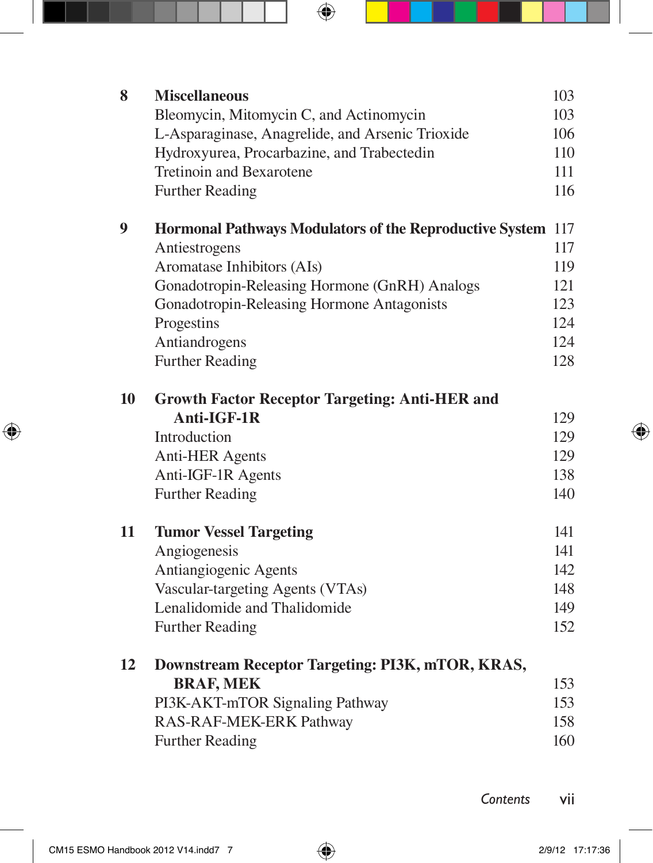| 8  | <b>Miscellaneous</b>                                        | 103 |
|----|-------------------------------------------------------------|-----|
|    | Bleomycin, Mitomycin C, and Actinomycin                     | 103 |
|    | L-Asparaginase, Anagrelide, and Arsenic Trioxide            | 106 |
|    | Hydroxyurea, Procarbazine, and Trabectedin                  | 110 |
|    | Tretinoin and Bexarotene                                    | 111 |
|    | <b>Further Reading</b>                                      | 116 |
| 9  | Hormonal Pathways Modulators of the Reproductive System 117 |     |
|    | Antiestrogens                                               | 117 |
|    | Aromatase Inhibitors (AIs)                                  | 119 |
|    | Gonadotropin-Releasing Hormone (GnRH) Analogs               | 121 |
|    | Gonadotropin-Releasing Hormone Antagonists                  | 123 |
|    | Progestins                                                  | 124 |
|    | Antiandrogens                                               | 124 |
|    | <b>Further Reading</b>                                      | 128 |
| 10 | <b>Growth Factor Receptor Targeting: Anti-HER and</b>       |     |
|    | Anti-IGF-1R                                                 | 129 |
|    | Introduction                                                | 129 |
|    | <b>Anti-HER Agents</b>                                      | 129 |
|    | Anti-IGF-1R Agents                                          | 138 |
|    | <b>Further Reading</b>                                      | 140 |
| 11 | <b>Tumor Vessel Targeting</b>                               | 141 |
|    | Angiogenesis                                                | 141 |
|    | Antiangiogenic Agents                                       | 142 |
|    | Vascular-targeting Agents (VTAs)                            | 148 |
|    | Lenalidomide and Thalidomide                                | 149 |
|    | <b>Further Reading</b>                                      | 152 |
| 12 | Downstream Receptor Targeting: PI3K, mTOR, KRAS,            |     |
|    | <b>BRAF, MEK</b>                                            | 153 |
|    | PI3K-AKT-mTOR Signaling Pathway                             | 153 |
|    | RAS-RAF-MEK-ERK Pathway                                     | 158 |
|    | <b>Further Reading</b>                                      | 160 |